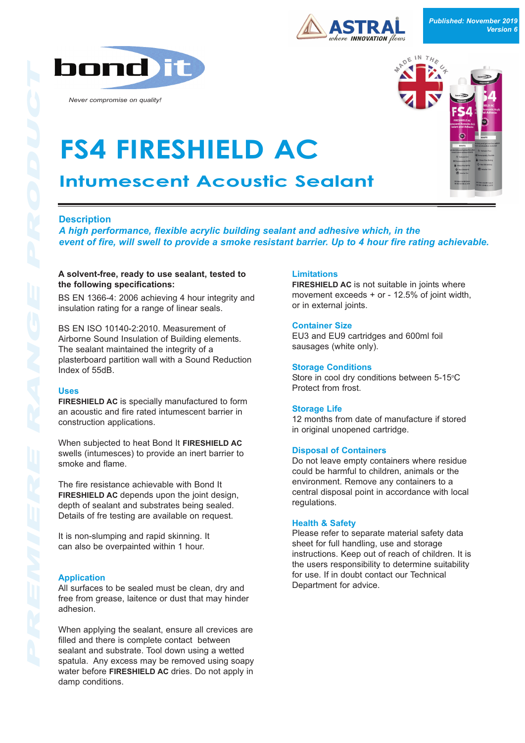

*Never compromise on quality!*





# **FS4 FIRESHIELD AC Intumescent Acoustic Sealant**

# **Description**

*A high performance, flexible acrylic building sealant and adhesive which, in the event of fire, will swell to provide a smoke resistant barrier. Up to 4 hour fire rating achievable.*

### A solvent-free, ready to use sealant, tested to **the following specifications:**

BS EN 13664: 2006 achieving 4 hour integrity and insulation rating for a range of linear seals.

BS EN ISO 10140-2:2010. Measurement of Airborne Sound Insulation of Building elements. The sealant maintained the integrity of a plasterboard partition wall with a Sound Reduction Index of 55dB.

## **Uses**

**FIRESHIELD AC** is specially manufactured to form an acoustic and fire rated intumescent barrier in construction applications.

When subjected to heat Bond It **FIRESHIELD AC** swells (intumesces) to provide an inert barrier to smoke and flame.

The fire resistance achievable with Bond It **FIRESHIELD AC** depends upon the joint design, depth of sealant and substrates being sealed. Details of fre testing are available on request.

It is non-slumping and rapid skinning. It can also be overpainted within 1 hour.

## **Application**

All surfaces to be sealed must be clean, dry and free from grease, laitence or dust that may hinder adhesion.

When applying the sealant, ensure all crevices are filled and there is complete contact between sealant and substrate. Tool down using a wetted spatula. Any excess may be removed using soapy water before **FIRESHIELD AC** dries. Do not apply in damp conditions.

## **Limitations**

**FIRESHIELD AC** is not suitable in joints where movement exceeds  $+$  or  $-$  12.5% of joint width, or in external joints.

## **Container Size**

EU3 and EU9 cartridges and 600ml foil sausages (white only).

## **Storage Conditions**

Store in cool dry conditions between 5-15°C Protect from frost.

## **Storage Life**

12 months from date of manufacture if stored in original unopened cartridge.

#### **Disposal of Containers**

Do not leave empty containers where residue could be harmful to children, animals or the environment. Remove any containers to a central disposal point in accordance with local regulations.

## **Health & Safety**

Please refer to separate material safety data sheet for full handling, use and storage instructions. Keep out of reach of children. It is the users responsibility to determine suitability for use. If in doubt contact our Technical Department for advice.